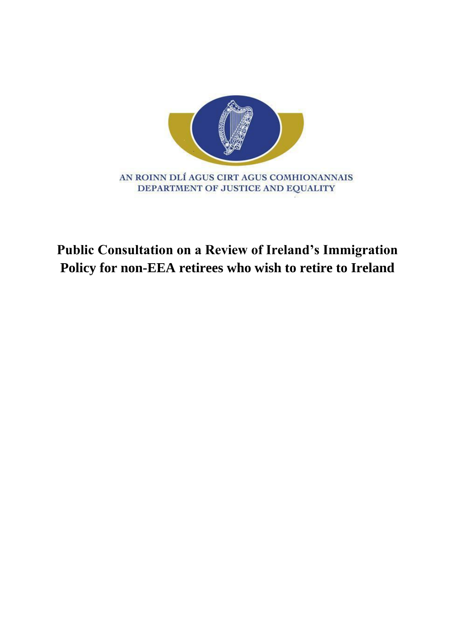

# **Public Consultation on a Review of Ireland's Immigration Policy for non-EEA retirees who wish to retire to Ireland**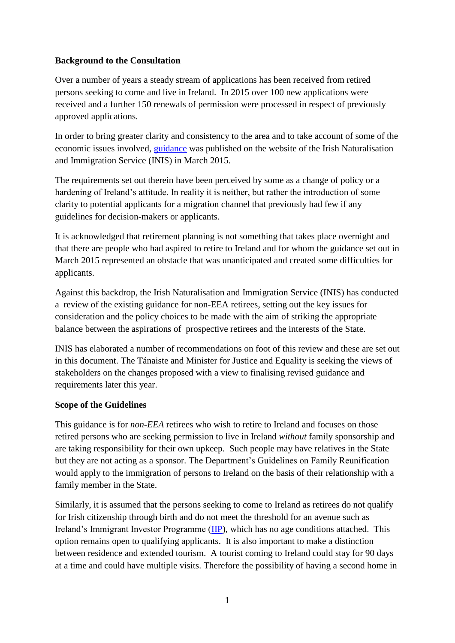#### **Background to the Consultation**

Over a number of years a steady stream of applications has been received from retired persons seeking to come and live in Ireland. In 2015 over 100 new applications were received and a further 150 renewals of permission were processed in respect of previously approved applications.

In order to bring greater clarity and consistency to the area and to take account of some of the economic issues involved, [guidance](http://www.inis.gov.ie/en/INIS/Pages/non-eea-permission) was published on the website of the Irish Naturalisation and Immigration Service (INIS) in March 2015.

The requirements set out therein have been perceived by some as a change of policy or a hardening of Ireland's attitude. In reality it is neither, but rather the introduction of some clarity to potential applicants for a migration channel that previously had few if any guidelines for decision-makers or applicants.

It is acknowledged that retirement planning is not something that takes place overnight and that there are people who had aspired to retire to Ireland and for whom the guidance set out in March 2015 represented an obstacle that was unanticipated and created some difficulties for applicants.

Against this backdrop, the Irish Naturalisation and Immigration Service (INIS) has conducted a review of the existing guidance for non-EEA retirees, setting out the key issues for consideration and the policy choices to be made with the aim of striking the appropriate balance between the aspirations of prospective retirees and the interests of the State.

INIS has elaborated a number of recommendations on foot of this review and these are set out in this document. The Tánaiste and Minister for Justice and Equality is seeking the views of stakeholders on the changes proposed with a view to finalising revised guidance and requirements later this year.

#### **Scope of the Guidelines**

This guidance is for *non-EEA* retirees who wish to retire to Ireland and focuses on those retired persons who are seeking permission to live in Ireland *without* family sponsorship and are taking responsibility for their own upkeep. Such people may have relatives in the State but they are not acting as a sponsor. The Department's Guidelines on Family Reunification would apply to the immigration of persons to Ireland on the basis of their relationship with a family member in the State.

Similarly, it is assumed that the persons seeking to come to Ireland as retirees do not qualify for Irish citizenship through birth and do not meet the threshold for an avenue such as Ireland's Immigrant Investor Programme [\(IIP\)](http://www.inis.gov.ie/en/INIS/Immigrant%20Investor%20Programme%20Guidelines%202014.pdf/Files/Immigrant%20Investor%20Programme%20Guidelines%202014.pdf), which has no age conditions attached. This option remains open to qualifying applicants. It is also important to make a distinction between residence and extended tourism. A tourist coming to Ireland could stay for 90 days at a time and could have multiple visits. Therefore the possibility of having a second home in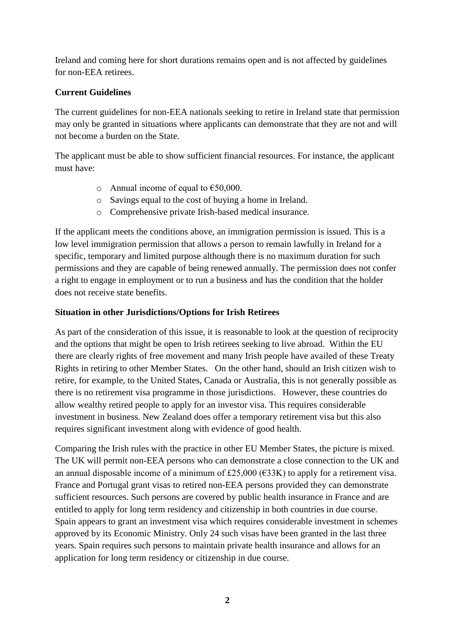Ireland and coming here for short durations remains open and is not affected by guidelines for non-EEA retirees.

#### **Current Guidelines**

The current guidelines for non-EEA nationals seeking to retire in Ireland state that permission may only be granted in situations where applicants can demonstrate that they are not and will not become a burden on the State.

The applicant must be able to show sufficient financial resources. For instance, the applicant must have:

- o Annual income of equal to  $€50,000$ .
- o Savings equal to the cost of buying a home in Ireland.
- o Comprehensive private Irish-based medical insurance.

If the applicant meets the conditions above, an immigration permission is issued. This is a low level immigration permission that allows a person to remain lawfully in Ireland for a specific, temporary and limited purpose although there is no maximum duration for such permissions and they are capable of being renewed annually. The permission does not confer a right to engage in employment or to run a business and has the condition that the holder does not receive state benefits.

#### **Situation in other Jurisdictions/Options for Irish Retirees**

As part of the consideration of this issue, it is reasonable to look at the question of reciprocity and the options that might be open to Irish retirees seeking to live abroad. Within the EU there are clearly rights of free movement and many Irish people have availed of these Treaty Rights in retiring to other Member States. On the other hand, should an Irish citizen wish to retire, for example, to the United States, Canada or Australia, this is not generally possible as there is no retirement visa programme in those jurisdictions. However, these countries do allow wealthy retired people to apply for an investor visa. This requires considerable investment in business. New Zealand does offer a temporary retirement visa but this also requires significant investment along with evidence of good health.

Comparing the Irish rules with the practice in other EU Member States, the picture is mixed. The UK will permit non-EEA persons who can demonstrate a close connection to the UK and an annual disposable income of a minimum of £25,000 ( $\epsilon$ 33K) to apply for a retirement visa. France and Portugal grant visas to retired non-EEA persons provided they can demonstrate sufficient resources. Such persons are covered by public health insurance in France and are entitled to apply for long term residency and citizenship in both countries in due course. Spain appears to grant an investment visa which requires considerable investment in schemes approved by its Economic Ministry. Only 24 such visas have been granted in the last three years. Spain requires such persons to maintain private health insurance and allows for an application for long term residency or citizenship in due course.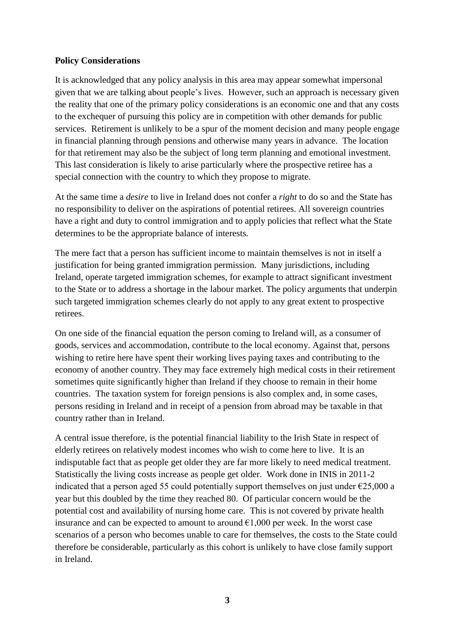#### **Policy Considerations**

It is acknowledged that any policy analysis in this area may appear somewhat impersonal given that we are talking about people's lives. However, such an approach is necessary given the reality that one of the primary policy considerations is an economic one and that any costs to the exchequer of pursuing this policy are in competition with other demands for public services. Retirement is unlikely to be a spur of the moment decision and many people engage in financial planning through pensions and otherwise many years in advance. The location for that retirement may also be the subject of long term planning and emotional investment. This last consideration is likely to arise particularly where the prospective retiree has a special connection with the country to which they propose to migrate.

At the same time a *desire* to live in Ireland does not confer a *right* to do so and the State has no responsibility to deliver on the aspirations of potential retirees. All sovereign countries have a right and duty to control immigration and to apply policies that reflect what the State determines to be the appropriate balance of interests.

The mere fact that a person has sufficient income to maintain themselves is not in itself a justification for being granted immigration permission. Many jurisdictions, including Ireland, operate targeted immigration schemes, for example to attract significant investment to the State or to address a shortage in the labour market. The policy arguments that underpin such targeted immigration schemes clearly do not apply to any great extent to prospective retirees.

On one side of the financial equation the person coming to Ireland will, as a consumer of goods, services and accommodation, contribute to the local economy. Against that, persons wishing to retire here have spent their working lives paying taxes and contributing to the economy of another country. They may face extremely high medical costs in their retirement sometimes quite significantly higher than Ireland if they choose to remain in their home countries. The taxation system for foreign pensions is also complex and, in some cases, persons residing in Ireland and in receipt of a pension from abroad may be taxable in that country rather than in Ireland.

A central issue therefore, is the potential financial liability to the Irish State in respect of elderly retirees on relatively modest incomes who wish to come here to live. It is an indisputable fact that as people get older they are far more likely to need medical treatment. Statistically the living costs increase as people get older. Work done in INIS in 2011-2 indicated that a person aged 55 could potentially support themselves on just under  $\epsilon$ 25,000 a year but this doubled by the time they reached 80. Of particular concern would be the potential cost and availability of nursing home care. This is not covered by private health insurance and can be expected to amount to around  $\epsilon$ 1,000 per week. In the worst case scenarios of a person who becomes unable to care for themselves, the costs to the State could therefore be considerable, particularly as this cohort is unlikely to have close family support in Ireland.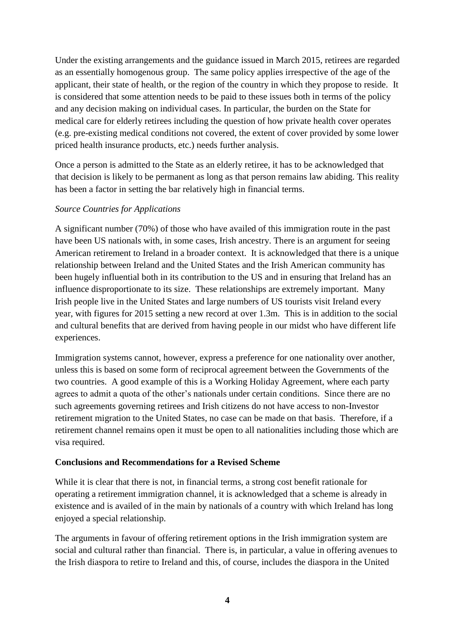Under the existing arrangements and the guidance issued in March 2015, retirees are regarded as an essentially homogenous group. The same policy applies irrespective of the age of the applicant, their state of health, or the region of the country in which they propose to reside. It is considered that some attention needs to be paid to these issues both in terms of the policy and any decision making on individual cases. In particular, the burden on the State for medical care for elderly retirees including the question of how private health cover operates (e.g. pre-existing medical conditions not covered, the extent of cover provided by some lower priced health insurance products, etc.) needs further analysis.

Once a person is admitted to the State as an elderly retiree, it has to be acknowledged that that decision is likely to be permanent as long as that person remains law abiding. This reality has been a factor in setting the bar relatively high in financial terms.

#### *Source Countries for Applications*

A significant number (70%) of those who have availed of this immigration route in the past have been US nationals with, in some cases, Irish ancestry. There is an argument for seeing American retirement to Ireland in a broader context. It is acknowledged that there is a unique relationship between Ireland and the United States and the Irish American community has been hugely influential both in its contribution to the US and in ensuring that Ireland has an influence disproportionate to its size. These relationships are extremely important. Many Irish people live in the United States and large numbers of US tourists visit Ireland every year, with figures for 2015 setting a new record at over 1.3m. This is in addition to the social and cultural benefits that are derived from having people in our midst who have different life experiences.

Immigration systems cannot, however, express a preference for one nationality over another, unless this is based on some form of reciprocal agreement between the Governments of the two countries. A good example of this is a Working Holiday Agreement, where each party agrees to admit a quota of the other's nationals under certain conditions. Since there are no such agreements governing retirees and Irish citizens do not have access to non-Investor retirement migration to the United States, no case can be made on that basis. Therefore, if a retirement channel remains open it must be open to all nationalities including those which are visa required.

#### **Conclusions and Recommendations for a Revised Scheme**

While it is clear that there is not, in financial terms, a strong cost benefit rationale for operating a retirement immigration channel, it is acknowledged that a scheme is already in existence and is availed of in the main by nationals of a country with which Ireland has long enjoyed a special relationship.

The arguments in favour of offering retirement options in the Irish immigration system are social and cultural rather than financial. There is, in particular, a value in offering avenues to the Irish diaspora to retire to Ireland and this, of course, includes the diaspora in the United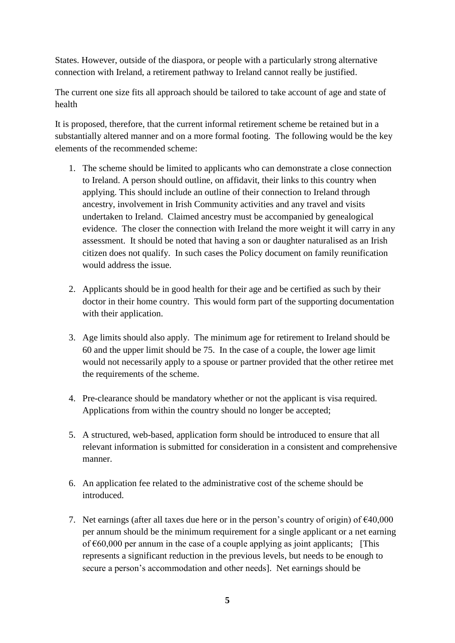States. However, outside of the diaspora, or people with a particularly strong alternative connection with Ireland, a retirement pathway to Ireland cannot really be justified.

The current one size fits all approach should be tailored to take account of age and state of health

It is proposed, therefore, that the current informal retirement scheme be retained but in a substantially altered manner and on a more formal footing. The following would be the key elements of the recommended scheme:

- 1. The scheme should be limited to applicants who can demonstrate a close connection to Ireland. A person should outline, on affidavit, their links to this country when applying. This should include an outline of their connection to Ireland through ancestry, involvement in Irish Community activities and any travel and visits undertaken to Ireland. Claimed ancestry must be accompanied by genealogical evidence. The closer the connection with Ireland the more weight it will carry in any assessment. It should be noted that having a son or daughter naturalised as an Irish citizen does not qualify. In such cases the Policy document on family reunification would address the issue.
- 2. Applicants should be in good health for their age and be certified as such by their doctor in their home country. This would form part of the supporting documentation with their application.
- 3. Age limits should also apply. The minimum age for retirement to Ireland should be 60 and the upper limit should be 75. In the case of a couple, the lower age limit would not necessarily apply to a spouse or partner provided that the other retiree met the requirements of the scheme.
- 4. Pre-clearance should be mandatory whether or not the applicant is visa required. Applications from within the country should no longer be accepted;
- 5. A structured, web-based, application form should be introduced to ensure that all relevant information is submitted for consideration in a consistent and comprehensive manner.
- 6. An application fee related to the administrative cost of the scheme should be introduced.
- 7. Net earnings (after all taxes due here or in the person's country of origin) of  $\epsilon$ 40,000 per annum should be the minimum requirement for a single applicant or a net earning of  $\epsilon$ 60,000 per annum in the case of a couple applying as joint applicants; [This represents a significant reduction in the previous levels, but needs to be enough to secure a person's accommodation and other needs]. Net earnings should be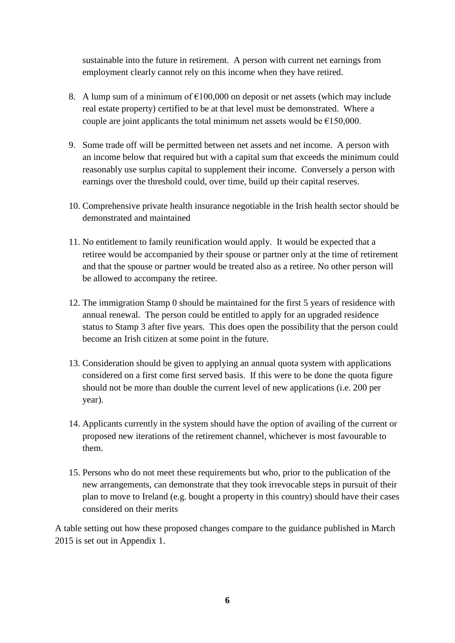sustainable into the future in retirement. A person with current net earnings from employment clearly cannot rely on this income when they have retired.

- 8. A lump sum of a minimum of  $\epsilon$ 100,000 on deposit or net assets (which may include real estate property) certified to be at that level must be demonstrated. Where a couple are joint applicants the total minimum net assets would be  $E150,000$ .
- 9. Some trade off will be permitted between net assets and net income. A person with an income below that required but with a capital sum that exceeds the minimum could reasonably use surplus capital to supplement their income. Conversely a person with earnings over the threshold could, over time, build up their capital reserves.
- 10. Comprehensive private health insurance negotiable in the Irish health sector should be demonstrated and maintained
- 11. No entitlement to family reunification would apply. It would be expected that a retiree would be accompanied by their spouse or partner only at the time of retirement and that the spouse or partner would be treated also as a retiree. No other person will be allowed to accompany the retiree.
- 12. The immigration Stamp 0 should be maintained for the first 5 years of residence with annual renewal. The person could be entitled to apply for an upgraded residence status to Stamp 3 after five years. This does open the possibility that the person could become an Irish citizen at some point in the future.
- 13. Consideration should be given to applying an annual quota system with applications considered on a first come first served basis. If this were to be done the quota figure should not be more than double the current level of new applications (i.e. 200 per year).
- 14. Applicants currently in the system should have the option of availing of the current or proposed new iterations of the retirement channel, whichever is most favourable to them.
- 15. Persons who do not meet these requirements but who, prior to the publication of the new arrangements, can demonstrate that they took irrevocable steps in pursuit of their plan to move to Ireland (e.g. bought a property in this country) should have their cases considered on their merits

A table setting out how these proposed changes compare to the guidance published in March 2015 is set out in Appendix 1.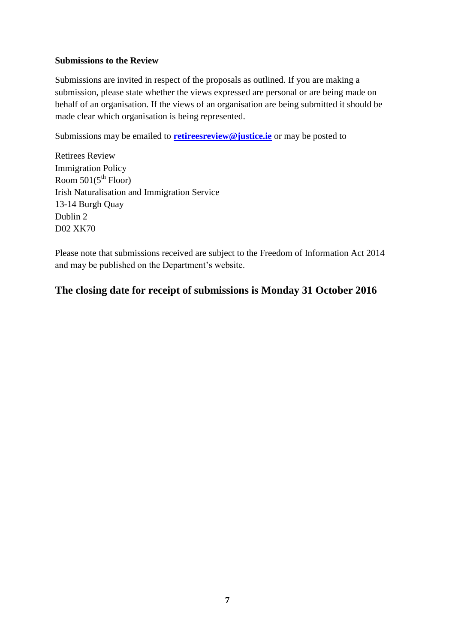#### **Submissions to the Review**

Submissions are invited in respect of the proposals as outlined. If you are making a submission, please state whether the views expressed are personal or are being made on behalf of an organisation. If the views of an organisation are being submitted it should be made clear which organisation is being represented.

Submissions may be emailed to **[retireesreview@justice.ie](mailto:retireesreview@justice.ie)** or may be posted to

Retirees Review Immigration Policy Room  $501(5<sup>th</sup>$  Floor) Irish Naturalisation and Immigration Service 13-14 Burgh Quay Dublin 2 D02 XK70

Please note that submissions received are subject to the Freedom of Information Act 2014 and may be published on the Department's website.

### **The closing date for receipt of submissions is Monday 31 October 2016**